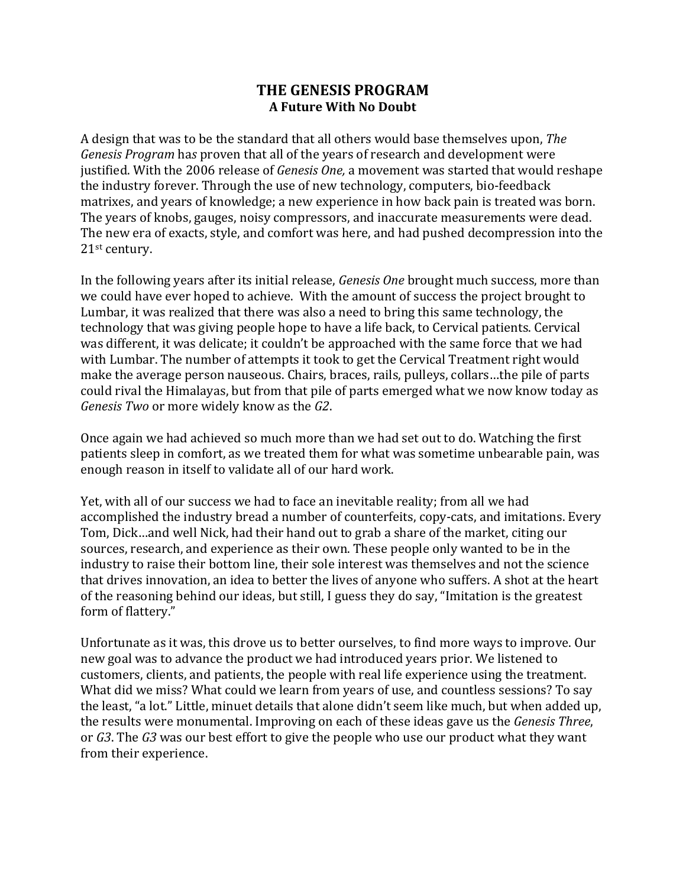## **THE GENESIS PROGRAM A Future With No Doubt**

A design that was to be the standard that all others would base themselves upon, *The Genesis Program* has proven that all of the years of research and development were justified. With the 2006 release of *Genesis One*, a movement was started that would reshape the industry forever. Through the use of new technology, computers, bio-feedback matrixes, and years of knowledge; a new experience in how back pain is treated was born. The years of knobs, gauges, noisy compressors, and inaccurate measurements were dead. The new era of exacts, style, and comfort was here, and had pushed decompression into the  $21$ <sup>st</sup> century.

In the following years after its initial release, *Genesis One* brought much success, more than we could have ever hoped to achieve. With the amount of success the project brought to Lumbar, it was realized that there was also a need to bring this same technology, the technology that was giving people hope to have a life back, to Cervical patients. Cervical was different, it was delicate; it couldn't be approached with the same force that we had with Lumbar. The number of attempts it took to get the Cervical Treatment right would make the average person nauseous. Chairs, braces, rails, pulleys, collars...the pile of parts could rival the Himalayas, but from that pile of parts emerged what we now know today as *Genesis Two* or more widely know as the *G2*.

Once again we had achieved so much more than we had set out to do. Watching the first patients sleep in comfort, as we treated them for what was sometime unbearable pain, was enough reason in itself to validate all of our hard work.

Yet, with all of our success we had to face an inevitable reality; from all we had accomplished the industry bread a number of counterfeits, copy-cats, and imitations. Every Tom, Dick…and well Nick, had their hand out to grab a share of the market, citing our sources, research, and experience as their own. These people only wanted to be in the industry to raise their bottom line, their sole interest was themselves and not the science that drives innovation, an idea to better the lives of anyone who suffers. A shot at the heart of the reasoning behind our ideas, but still, I guess they do say, "Imitation is the greatest form of flattery."

Unfortunate as it was, this drove us to better ourselves, to find more ways to improve. Our new goal was to advance the product we had introduced years prior. We listened to customers, clients, and patients, the people with real life experience using the treatment. What did we miss? What could we learn from years of use, and countless sessions? To say the least, "a lot." Little, minuet details that alone didn't seem like much, but when added up, the results were monumental. Improving on each of these ideas gave us the *Genesis Three*, or *G3*. The *G3* was our best effort to give the people who use our product what they want from their experience.